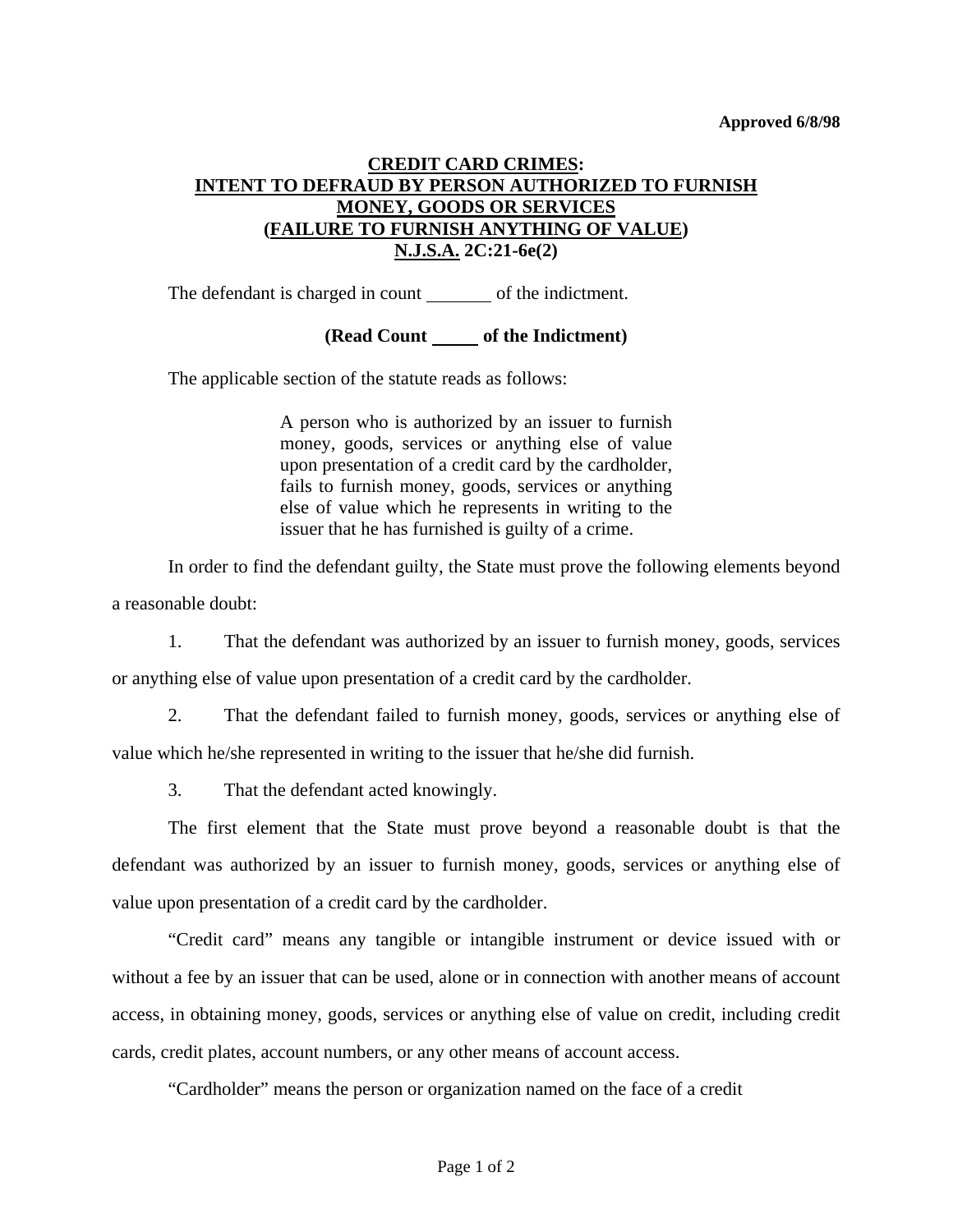## **CREDIT CARD CRIMES: INTENT TO DEFRAUD BY PERSON AUTHORIZED TO FURNISH MONEY, GOODS OR SERVICES (FAILURE TO FURNISH ANYTHING OF VALUE) N.J.S.A. 2C:21-6e(2)**

The defendant is charged in count of the indictment.

**(Read Count of the Indictment)** 

The applicable section of the statute reads as follows:

A person who is authorized by an issuer to furnish money, goods, services or anything else of value upon presentation of a credit card by the cardholder, fails to furnish money, goods, services or anything else of value which he represents in writing to the issuer that he has furnished is guilty of a crime.

 In order to find the defendant guilty, the State must prove the following elements beyond a reasonable doubt:

 1. That the defendant was authorized by an issuer to furnish money, goods, services or anything else of value upon presentation of a credit card by the cardholder.

 2. That the defendant failed to furnish money, goods, services or anything else of value which he/she represented in writing to the issuer that he/she did furnish.

3. That the defendant acted knowingly.

 The first element that the State must prove beyond a reasonable doubt is that the defendant was authorized by an issuer to furnish money, goods, services or anything else of value upon presentation of a credit card by the cardholder.

 "Credit card" means any tangible or intangible instrument or device issued with or without a fee by an issuer that can be used, alone or in connection with another means of account access, in obtaining money, goods, services or anything else of value on credit, including credit cards, credit plates, account numbers, or any other means of account access.

"Cardholder" means the person or organization named on the face of a credit